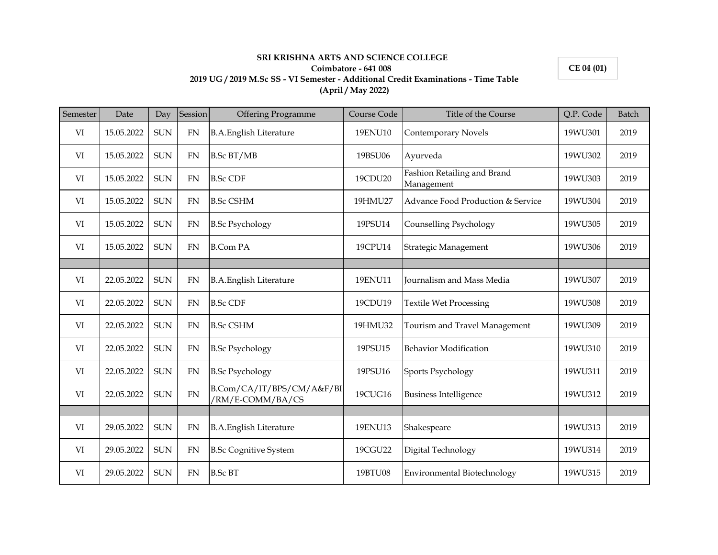## **Coimbatore - 641 008 2019 UG / 2019 M.Sc SS - VI Semester - Additional Credit Examinations - Time Table (April / May 2022)**

**SRI KRISHNA ARTS AND SCIENCE COLLEGE** 

**CE 04 (01)**

| Semester | Date       | Day        | Session   | <b>Offering Programme</b>                     | Course Code | Title of the Course                       | Q.P. Code | Batch |
|----------|------------|------------|-----------|-----------------------------------------------|-------------|-------------------------------------------|-----------|-------|
| VI       | 15.05.2022 | <b>SUN</b> | <b>FN</b> | <b>B.A.English Literature</b>                 | 19ENU10     | <b>Contemporary Novels</b>                | 19WU301   | 2019  |
| VI       | 15.05.2022 | <b>SUN</b> | <b>FN</b> | <b>B.Sc BT/MB</b>                             | 19BSU06     | Ayurveda                                  | 19WU302   | 2019  |
| VI       | 15.05.2022 | <b>SUN</b> | <b>FN</b> | <b>B.Sc CDF</b>                               | 19CDU20     | Fashion Retailing and Brand<br>Management | 19WU303   | 2019  |
| VI       | 15.05.2022 | <b>SUN</b> | <b>FN</b> | <b>B.Sc CSHM</b>                              | 19HMU27     | Advance Food Production & Service         | 19WU304   | 2019  |
| VI       | 15.05.2022 | <b>SUN</b> | <b>FN</b> | <b>B.Sc Psychology</b>                        | 19PSU14     | Counselling Psychology                    | 19WU305   | 2019  |
| VI       | 15.05.2022 | <b>SUN</b> | <b>FN</b> | <b>B.Com PA</b>                               | 19CPU14     | Strategic Management                      | 19WU306   | 2019  |
|          |            |            |           |                                               |             |                                           |           |       |
| VI       | 22.05.2022 | <b>SUN</b> | <b>FN</b> | <b>B.A.English Literature</b>                 | 19ENU11     | Journalism and Mass Media                 | 19WU307   | 2019  |
| VI       | 22.05.2022 | <b>SUN</b> | <b>FN</b> | <b>B.Sc CDF</b>                               | 19CDU19     | <b>Textile Wet Processing</b>             | 19WU308   | 2019  |
| VI       | 22.05.2022 | <b>SUN</b> | <b>FN</b> | <b>B.Sc CSHM</b>                              | 19HMU32     | Tourism and Travel Management             | 19WU309   | 2019  |
| VI       | 22.05.2022 | <b>SUN</b> | <b>FN</b> | <b>B.Sc Psychology</b>                        | 19PSU15     | <b>Behavior Modification</b>              | 19WU310   | 2019  |
| VI       | 22.05.2022 | <b>SUN</b> | <b>FN</b> | <b>B.Sc Psychology</b>                        | 19PSU16     | Sports Psychology                         | 19WU311   | 2019  |
| VI       | 22.05.2022 | <b>SUN</b> | FN        | B.Com/CA/IT/BPS/CM/A&F/BI<br>/RM/E-COMM/BA/CS | 19CUG16     | <b>Business Intelligence</b>              | 19WU312   | 2019  |
|          |            |            |           |                                               |             |                                           |           |       |
| VI       | 29.05.2022 | <b>SUN</b> | <b>FN</b> | <b>B.A.English Literature</b>                 | 19ENU13     | Shakespeare                               | 19WU313   | 2019  |
| VI       | 29.05.2022 | <b>SUN</b> | <b>FN</b> | <b>B.Sc Cognitive System</b>                  | 19CGU22     | Digital Technology                        | 19WU314   | 2019  |
| VI       | 29.05.2022 | <b>SUN</b> | FN        | <b>B.Sc BT</b>                                | 19BTU08     | Environmental Biotechnology               | 19WU315   | 2019  |